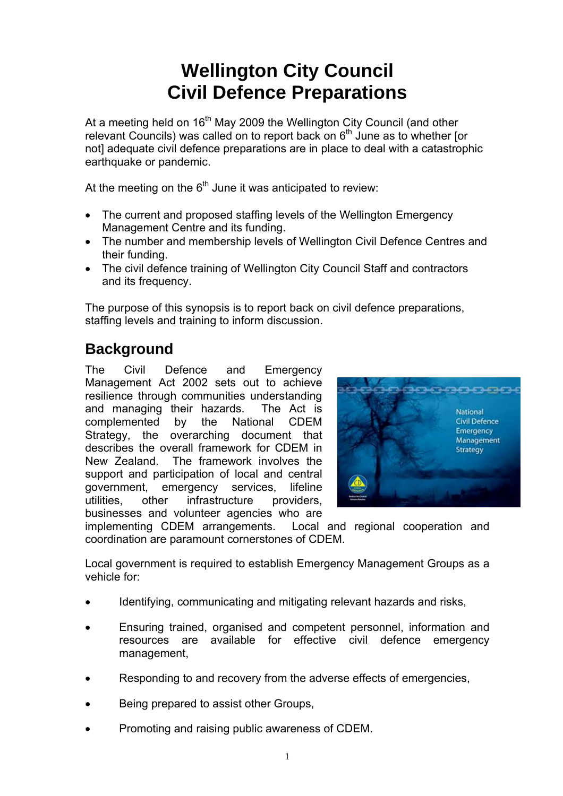# **Wellington City Council Civil Defence Preparations**

At a meeting held on  $16<sup>th</sup>$  May 2009 the Wellington City Council (and other relevant Councils) was called on to report back on  $6<sup>th</sup>$  June as to whether [or not] adequate civil defence preparations are in place to deal with a catastrophic earthquake or pandemic.

At the meeting on the  $6<sup>th</sup>$  June it was anticipated to review:

- The current and proposed staffing levels of the Wellington Emergency Management Centre and its funding.
- The number and membership levels of Wellington Civil Defence Centres and their funding.
- The civil defence training of Wellington City Council Staff and contractors and its frequency.

The purpose of this synopsis is to report back on civil defence preparations, staffing levels and training to inform discussion.

## **Background**

The Civil Defence and Emergency Management Act 2002 sets out to achieve resilience through communities understanding and managing their hazards. The Act is complemented by the National CDEM Strategy, the overarching document that describes the overall framework for CDEM in New Zealand. The framework involves the support and participation of local and central government, emergency services, lifeline utilities, other infrastructure providers, businesses and volunteer agencies who are



implementing CDEM arrangements. Local and regional cooperation and coordination are paramount cornerstones of CDEM.

Local government is required to establish Emergency Management Groups as a vehicle for:

- Identifying, communicating and mitigating relevant hazards and risks,
- Ensuring trained, organised and competent personnel, information and resources are available for effective civil defence emergency management,
- Responding to and recovery from the adverse effects of emergencies,
- Being prepared to assist other Groups,
- Promoting and raising public awareness of CDEM.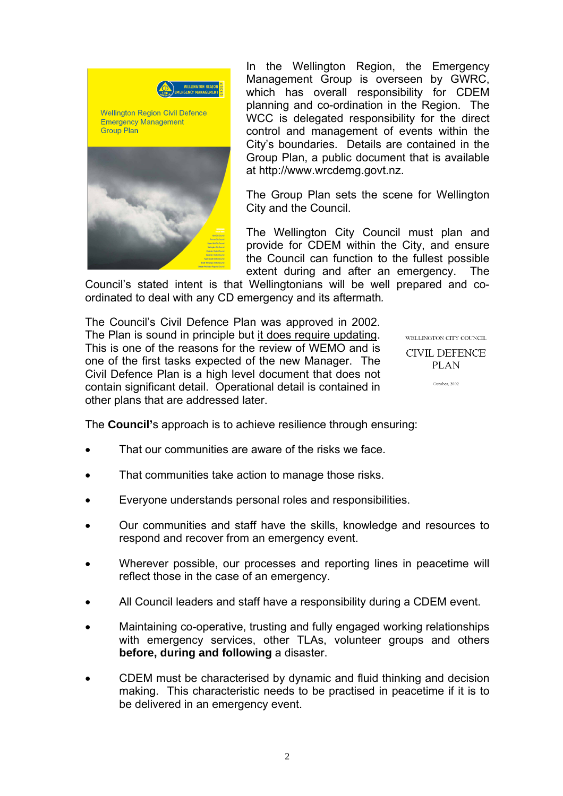

In the Wellington Region, the Emergency Management Group is overseen by GWRC, which has overall responsibility for CDEM planning and co-ordination in the Region. The WCC is delegated responsibility for the direct control and management of events within the City's boundaries. Details are contained in the Group Plan, a public document that is available at http://www.wrcdemg.govt.nz.

The Group Plan sets the scene for Wellington City and the Council.

The Wellington City Council must plan and provide for CDEM within the City, and ensure the Council can function to the fullest possible extent during and after an emergency. The

Council's stated intent is that Wellingtonians will be well prepared and coordinated to deal with any CD emergency and its aftermath*.*

The Council's Civil Defence Plan was approved in 2002. The Plan is sound in principle but it does require updating. This is one of the reasons for the review of WEMO and is one of the first tasks expected of the new Manager. The Civil Defence Plan is a high level document that does not contain significant detail. Operational detail is contained in other plans that are addressed later.

WELL INGTON CITY COLNCIL. **CIVIL DEFENCE PLAN** 

October 2002

The **Council'**s approach is to achieve resilience through ensuring:

- That our communities are aware of the risks we face.
- That communities take action to manage those risks.
- Everyone understands personal roles and responsibilities.
- Our communities and staff have the skills, knowledge and resources to respond and recover from an emergency event.
- Wherever possible, our processes and reporting lines in peacetime will reflect those in the case of an emergency.
- All Council leaders and staff have a responsibility during a CDEM event.
- Maintaining co-operative, trusting and fully engaged working relationships with emergency services, other TLAs, volunteer groups and others **before, during and following** a disaster.
- CDEM must be characterised by dynamic and fluid thinking and decision making. This characteristic needs to be practised in peacetime if it is to be delivered in an emergency event.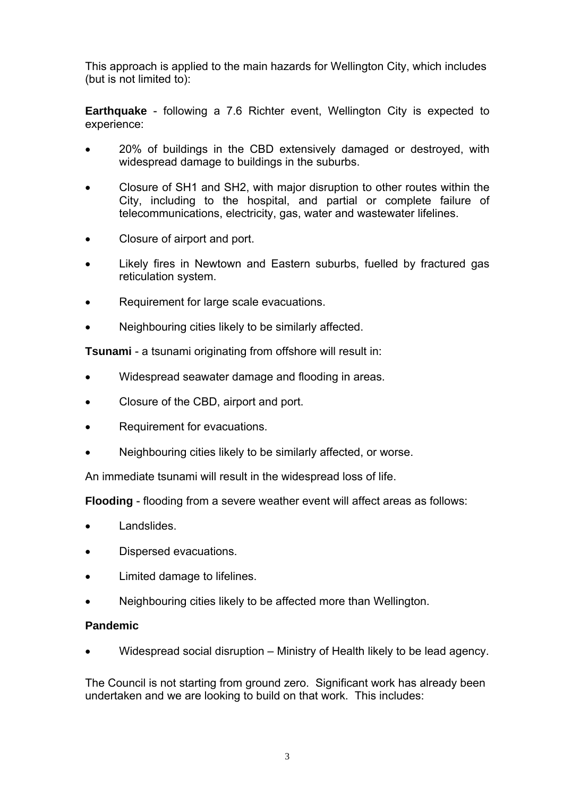This approach is applied to the main hazards for Wellington City, which includes (but is not limited to):

**Earthquake** - following a 7.6 Richter event, Wellington City is expected to experience:

- 20% of buildings in the CBD extensively damaged or destroyed, with widespread damage to buildings in the suburbs.
- Closure of SH1 and SH2, with major disruption to other routes within the City, including to the hospital, and partial or complete failure of telecommunications, electricity, gas, water and wastewater lifelines.
- Closure of airport and port.
- Likely fires in Newtown and Eastern suburbs, fuelled by fractured gas reticulation system.
- Requirement for large scale evacuations.
- Neighbouring cities likely to be similarly affected.

**Tsunami** - a tsunami originating from offshore will result in:

- Widespread seawater damage and flooding in areas.
- Closure of the CBD, airport and port.
- Requirement for evacuations.
- Neighbouring cities likely to be similarly affected, or worse.

An immediate tsunami will result in the widespread loss of life.

**Flooding** - flooding from a severe weather event will affect areas as follows:

- Landslides.
- Dispersed evacuations.
- Limited damage to lifelines.
- Neighbouring cities likely to be affected more than Wellington.

#### **Pandemic**

• Widespread social disruption – Ministry of Health likely to be lead agency.

The Council is not starting from ground zero. Significant work has already been undertaken and we are looking to build on that work. This includes: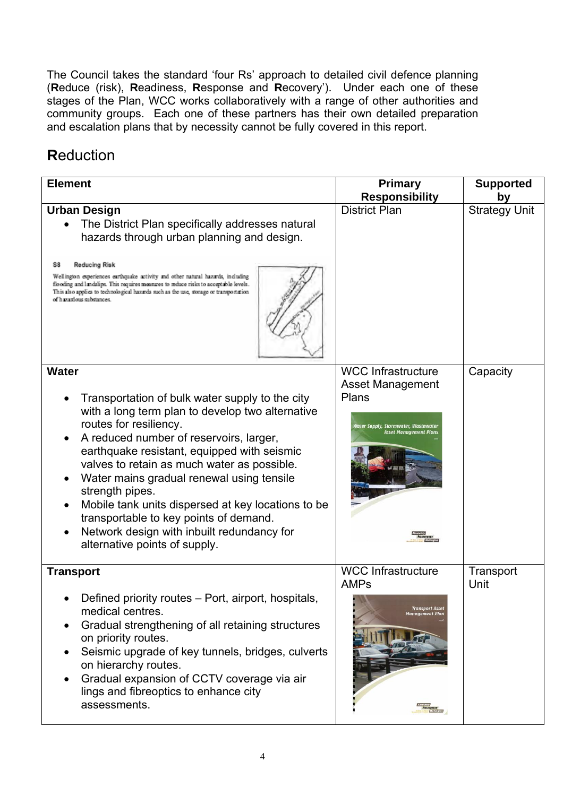The Council takes the standard 'four Rs' approach to detailed civil defence planning (**R**educe (risk), **R**eadiness, **R**esponse and **R**ecovery'). Under each one of these stages of the Plan, WCC works collaboratively with a range of other authorities and community groups. Each one of these partners has their own detailed preparation and escalation plans that by necessity cannot be fully covered in this report.

## **R**eduction

| <b>Element</b>                                                                                                                                                                                                                                                                                                                                                                                                                                                                                                                                     | <b>Primary</b><br><b>Responsibility</b>                                                                                                        | <b>Supported</b><br>by |
|----------------------------------------------------------------------------------------------------------------------------------------------------------------------------------------------------------------------------------------------------------------------------------------------------------------------------------------------------------------------------------------------------------------------------------------------------------------------------------------------------------------------------------------------------|------------------------------------------------------------------------------------------------------------------------------------------------|------------------------|
| <b>Urban Design</b><br>The District Plan specifically addresses natural<br>hazards through urban planning and design.<br><b>Reducing Risk</b><br>S8<br>Wellington experiences earthquake activity and other natural hazards, including<br>flooding and landslips. This requires measures to reduce risks to acceptable levels.<br>This also applies to technological hazards such as the use, storage or transportation<br>of hazaxlous substances.                                                                                                | <b>District Plan</b>                                                                                                                           | <b>Strategy Unit</b>   |
| <b>Water</b><br>Transportation of bulk water supply to the city<br>with a long term plan to develop two alternative<br>routes for resiliency.<br>A reduced number of reservoirs, larger,<br>earthquake resistant, equipped with seismic<br>valves to retain as much water as possible.<br>Water mains gradual renewal using tensile<br>strength pipes.<br>Mobile tank units dispersed at key locations to be<br>$\bullet$<br>transportable to key points of demand.<br>Network design with inbuilt redundancy for<br>alternative points of supply. | <b>WCC Infrastructure</b><br>Asset Management<br>Plans<br>Water Supply, Stormwater, Wastewater<br><b>Asset Management Plans</b>                | Capacity               |
| <b>Transport</b><br>Defined priority routes – Port, airport, hospitals,<br>medical centres.<br>Gradual strengthening of all retaining structures<br>on priority routes.<br>Seismic upgrade of key tunnels, bridges, culverts<br>on hierarchy routes.<br>Gradual expansion of CCTV coverage via air<br>lings and fibreoptics to enhance city<br>assessments.                                                                                                                                                                                        | <b>WCC Infrastructure</b><br><b>AMPs</b><br><b>Transport Asset</b><br><b>Management Plan</b><br><b>Autor</b><br><b>Positively</b><br>AWRington | Transport<br>Unit      |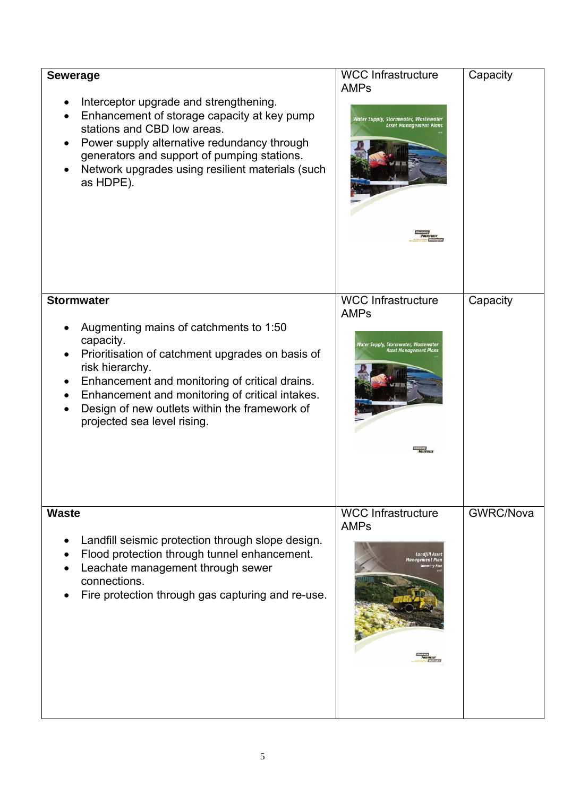| <b>Sewerage</b><br>Interceptor upgrade and strengthening.<br>Enhancement of storage capacity at key pump<br>stations and CBD low areas.<br>Power supply alternative redundancy through<br>generators and support of pumping stations.<br>Network upgrades using resilient materials (such<br>as HDPE).                               | <b>WCC Infrastructure</b><br><b>AMPs</b><br>Water Supply, Stormwater, Wastewater<br><b>Asset Management Plans</b> | Capacity  |
|--------------------------------------------------------------------------------------------------------------------------------------------------------------------------------------------------------------------------------------------------------------------------------------------------------------------------------------|-------------------------------------------------------------------------------------------------------------------|-----------|
| <b>Stormwater</b><br>Augmenting mains of catchments to 1:50<br>capacity.<br>Prioritisation of catchment upgrades on basis of<br>risk hierarchy.<br>Enhancement and monitoring of critical drains.<br>Enhancement and monitoring of critical intakes.<br>Design of new outlets within the framework of<br>projected sea level rising. | <b>WCC Infrastructure</b><br><b>AMPs</b><br>later Supply, Stormwater, Wastewater<br>Asset Management Plans        | Capacity  |
| <b>Waste</b><br>Landfill seismic protection through slope design.<br>Flood protection through tunnel enhancement.<br>Leachate management through sewer<br>connections.<br>Fire protection through gas capturing and re-use.                                                                                                          | <b>WCC Infrastructure</b><br><b>AMPs</b><br><b>Landfill Asse</b><br>Management Plai                               | GWRC/Nova |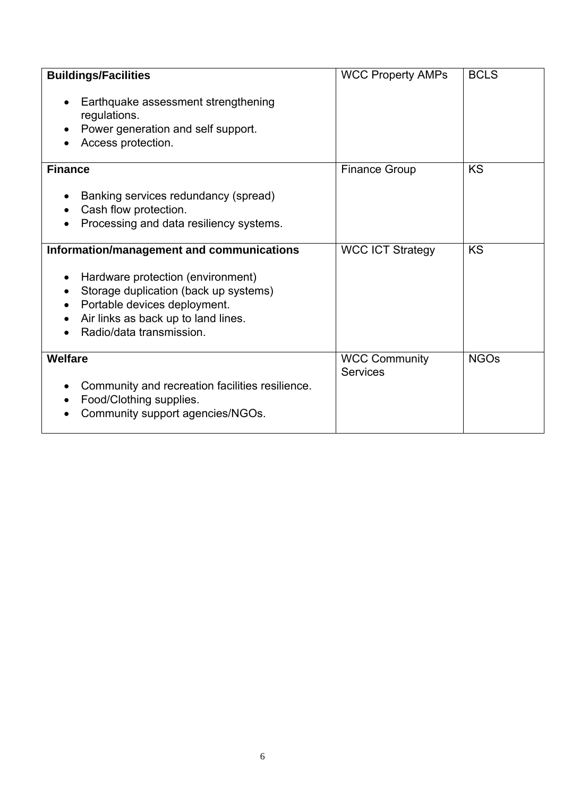| <b>Buildings/Facilities</b><br>Earthquake assessment strengthening<br>$\bullet$<br>regulations.<br>Power generation and self support.<br>Access protection.                                                                             | <b>WCC Property AMPs</b>                | <b>BCLS</b> |
|-----------------------------------------------------------------------------------------------------------------------------------------------------------------------------------------------------------------------------------------|-----------------------------------------|-------------|
| <b>Finance</b><br>Banking services redundancy (spread)<br>Cash flow protection.<br>Processing and data resiliency systems.                                                                                                              | <b>Finance Group</b>                    | <b>KS</b>   |
| Information/management and communications<br>Hardware protection (environment)<br>$\bullet$<br>Storage duplication (back up systems)<br>Portable devices deployment.<br>Air links as back up to land lines.<br>Radio/data transmission. | <b>WCC ICT Strategy</b>                 | <b>KS</b>   |
| <b>Welfare</b><br>Community and recreation facilities resilience.<br>Food/Clothing supplies.<br>Community support agencies/NGOs.                                                                                                        | <b>WCC Community</b><br><b>Services</b> | <b>NGOs</b> |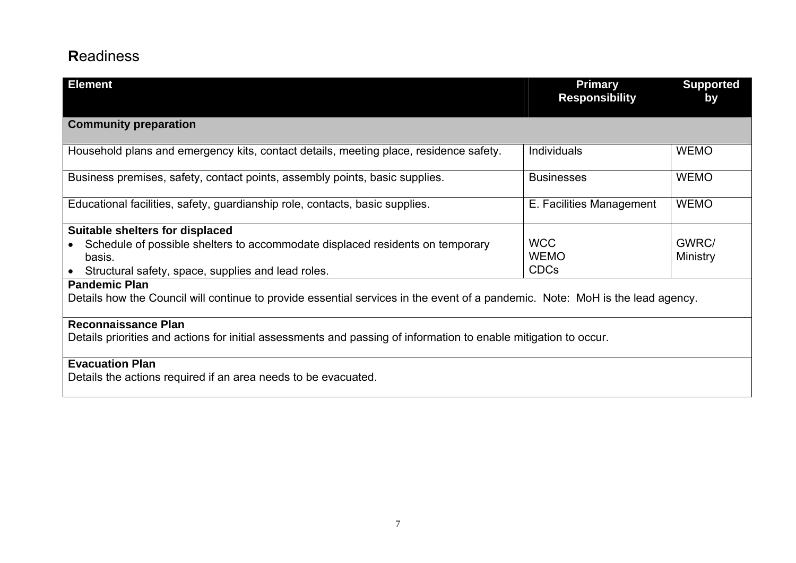## **R**eadiness

| <b>Element</b>                                                                                                                                        | <b>Primary</b><br><b>Responsibility</b> | <b>Supported</b><br>by |
|-------------------------------------------------------------------------------------------------------------------------------------------------------|-----------------------------------------|------------------------|
|                                                                                                                                                       |                                         |                        |
| <b>Community preparation</b>                                                                                                                          |                                         |                        |
| Household plans and emergency kits, contact details, meeting place, residence safety.                                                                 | <b>Individuals</b>                      | <b>WEMO</b>            |
| Business premises, safety, contact points, assembly points, basic supplies.                                                                           | <b>Businesses</b>                       | <b>WEMO</b>            |
| Educational facilities, safety, guardianship role, contacts, basic supplies.                                                                          | E. Facilities Management                | <b>WEMO</b>            |
| Suitable shelters for displaced                                                                                                                       |                                         |                        |
| Schedule of possible shelters to accommodate displaced residents on temporary                                                                         | <b>WCC</b>                              | GWRC/                  |
| basis.                                                                                                                                                | <b>WEMO</b><br><b>CDCs</b>              | Ministry               |
| Structural safety, space, supplies and lead roles.                                                                                                    |                                         |                        |
| <b>Pandemic Plan</b><br>Details how the Council will continue to provide essential services in the event of a pandemic. Note: MoH is the lead agency. |                                         |                        |
| <b>Reconnaissance Plan</b>                                                                                                                            |                                         |                        |
| Details priorities and actions for initial assessments and passing of information to enable mitigation to occur.                                      |                                         |                        |
| <b>Evacuation Plan</b>                                                                                                                                |                                         |                        |
| Details the actions required if an area needs to be evacuated.                                                                                        |                                         |                        |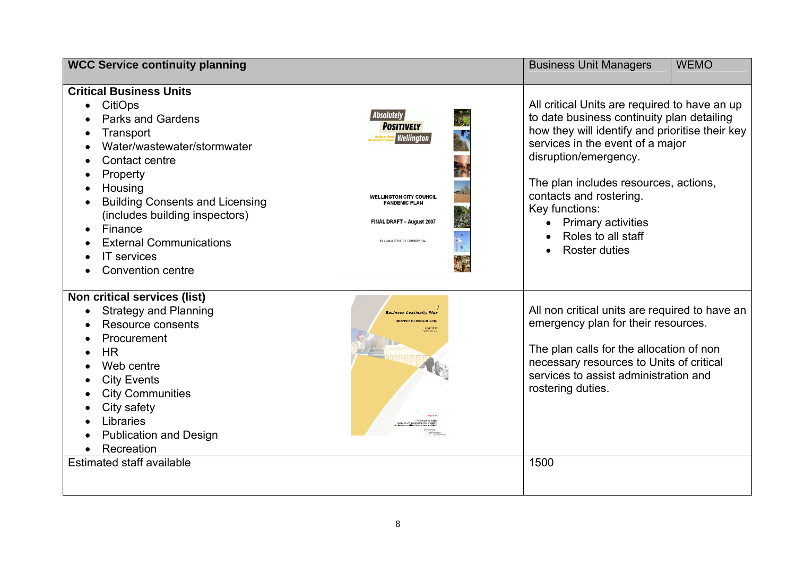| <b>WCC Service continuity planning</b>                                                                                                                                                                                                                                                                                                                                                           |                                                                                                                                                                                          | <b>Business Unit Managers</b>                                                                                                                                                                                                                                                                                                                                                        | <b>WEMO</b> |
|--------------------------------------------------------------------------------------------------------------------------------------------------------------------------------------------------------------------------------------------------------------------------------------------------------------------------------------------------------------------------------------------------|------------------------------------------------------------------------------------------------------------------------------------------------------------------------------------------|--------------------------------------------------------------------------------------------------------------------------------------------------------------------------------------------------------------------------------------------------------------------------------------------------------------------------------------------------------------------------------------|-------------|
| <b>Critical Business Units</b><br><b>CitiOps</b><br>$\bullet$<br><b>Parks and Gardens</b><br>Transport<br>Water/wastewater/stormwater<br>$\bullet$<br>Contact centre<br>Property<br>$\bullet$<br>Housing<br><b>Building Consents and Licensing</b><br>(includes building inspectors)<br>Finance<br>$\bullet$<br><b>External Communications</b><br><b>IT</b> services<br><b>Convention centre</b> | <b>Absolutely</b><br><b>POSITIVELY</b><br><b>Wellington</b><br><b>WELLINGTON CITY COUNCIL</b><br><b>PANDEMIC PLAN</b><br>FINAL DRAFT - August 2007<br>This plan is STRICTLY CONFIDENTIAL | All critical Units are required to have an up<br>to date business continuity plan detailing<br>how they will identify and prioritise their key<br>services in the event of a major<br>disruption/emergency.<br>The plan includes resources, actions,<br>contacts and rostering.<br>Key functions:<br>• Primary activities<br>Roles to all staff<br><b>Roster duties</b><br>$\bullet$ |             |
| Non critical services (list)<br><b>Strategy and Planning</b><br>$\bullet$<br>Resource consents<br>Procurement<br>$\bullet$<br><b>HR</b><br>Web centre<br><b>City Events</b><br><b>City Communities</b><br>City safety<br>Libraries<br><b>Publication and Design</b><br>Recreation<br>$\bullet$<br>Estimated staff available                                                                      | <b>Business Continuity Plan</b>                                                                                                                                                          | All non critical units are required to have an<br>emergency plan for their resources.<br>The plan calls for the allocation of non<br>necessary resources to Units of critical<br>services to assist administration and<br>rostering duties.<br>1500                                                                                                                                  |             |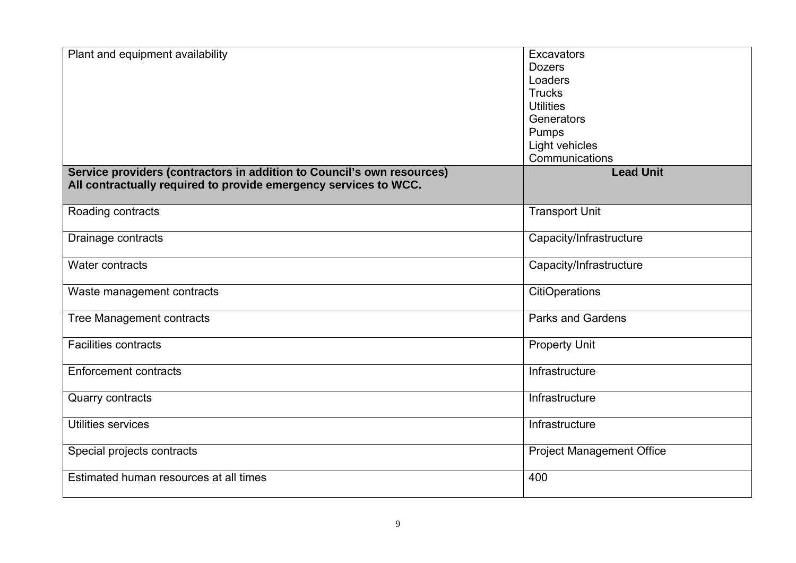| Plant and equipment availability                                       | <b>Excavators</b>                |
|------------------------------------------------------------------------|----------------------------------|
|                                                                        | <b>Dozers</b>                    |
|                                                                        | Loaders                          |
|                                                                        | <b>Trucks</b>                    |
|                                                                        | <b>Utilities</b>                 |
|                                                                        | Generators                       |
|                                                                        | Pumps                            |
|                                                                        | Light vehicles                   |
|                                                                        | Communications                   |
| Service providers (contractors in addition to Council's own resources) | <b>Lead Unit</b>                 |
| All contractually required to provide emergency services to WCC.       |                                  |
|                                                                        |                                  |
| Roading contracts                                                      | <b>Transport Unit</b>            |
|                                                                        |                                  |
| Drainage contracts                                                     | Capacity/Infrastructure          |
| Water contracts                                                        | Capacity/Infrastructure          |
|                                                                        |                                  |
| Waste management contracts                                             | <b>CitiOperations</b>            |
| <b>Tree Management contracts</b>                                       | <b>Parks and Gardens</b>         |
|                                                                        |                                  |
| <b>Facilities contracts</b>                                            | <b>Property Unit</b>             |
| <b>Enforcement contracts</b>                                           | Infrastructure                   |
|                                                                        |                                  |
| <b>Quarry contracts</b>                                                | Infrastructure                   |
| <b>Utilities services</b>                                              | Infrastructure                   |
|                                                                        |                                  |
| Special projects contracts                                             | <b>Project Management Office</b> |
| Estimated human resources at all times                                 | 400                              |
|                                                                        |                                  |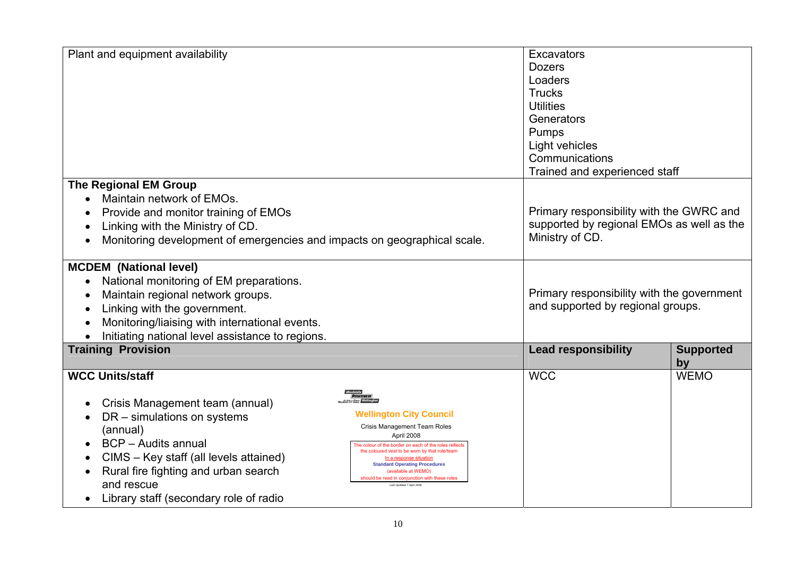| Plant and equipment availability                                                                                                                                                                                                                                                                                                                                                                                                                                                                                                                                                                                                                              | <b>Excavators</b><br><b>Dozers</b><br>Loaders<br><b>Trucks</b><br><b>Utilities</b><br>Generators<br>Pumps<br>Light vehicles<br>Communications<br>Trained and experienced staff |  |
|---------------------------------------------------------------------------------------------------------------------------------------------------------------------------------------------------------------------------------------------------------------------------------------------------------------------------------------------------------------------------------------------------------------------------------------------------------------------------------------------------------------------------------------------------------------------------------------------------------------------------------------------------------------|--------------------------------------------------------------------------------------------------------------------------------------------------------------------------------|--|
| <b>The Regional EM Group</b><br>Maintain network of EMOs.<br>Provide and monitor training of EMOs<br>Linking with the Ministry of CD.<br>Monitoring development of emergencies and impacts on geographical scale.                                                                                                                                                                                                                                                                                                                                                                                                                                             | Primary responsibility with the GWRC and<br>supported by regional EMOs as well as the<br>Ministry of CD.                                                                       |  |
| <b>MCDEM</b> (National level)<br>National monitoring of EM preparations.<br>Maintain regional network groups.<br>Linking with the government.<br>Monitoring/liaising with international events.<br>Initiating national level assistance to regions.                                                                                                                                                                                                                                                                                                                                                                                                           | Primary responsibility with the government<br>and supported by regional groups.                                                                                                |  |
| <b>Training Provision</b>                                                                                                                                                                                                                                                                                                                                                                                                                                                                                                                                                                                                                                     | <b>Lead responsibility</b><br><b>Supported</b><br>by                                                                                                                           |  |
| <b>WCC Units/staff</b><br>Crisis Management team (annual)<br><b>Wellington City Council</b><br>DR - simulations on systems<br>Crisis Management Team Roles<br>(annual)<br>April 2008<br><b>BCP</b> - Audits annual<br>$\bullet$<br>The colour of the border on each of the roles reflect<br>the coloured vest to be worn by that role/team<br>CIMS - Key staff (all levels attained)<br>In a response situation<br><b>Standard Operating Procedures</b><br>Rural fire fighting and urban search<br>(available at WEMO)<br>should be read in conjunction with these roles<br>and rescue<br>Last Updated 7 April 2008<br>Library staff (secondary role of radio | <b>WCC</b><br><b>WEMO</b>                                                                                                                                                      |  |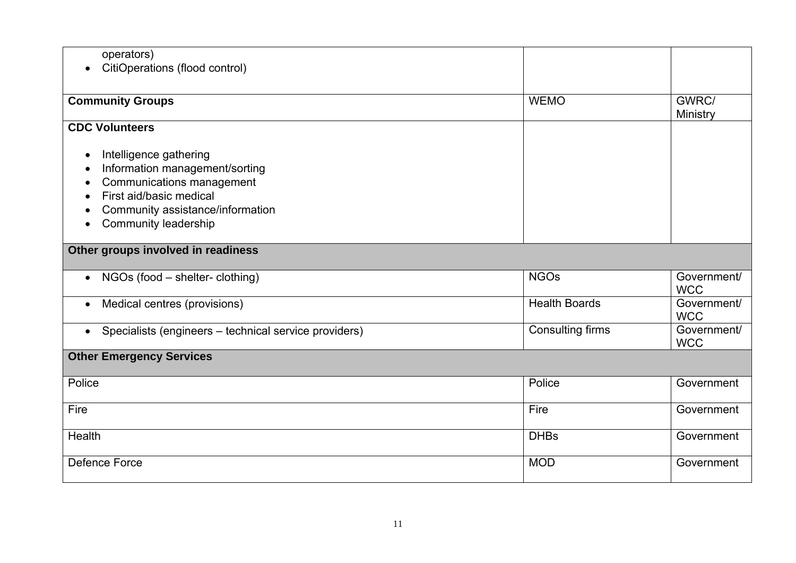| operators)                                              |                         |             |
|---------------------------------------------------------|-------------------------|-------------|
| CitiOperations (flood control)<br>$\bullet$             |                         |             |
|                                                         |                         |             |
| <b>Community Groups</b>                                 | <b>WEMO</b>             | GWRC/       |
|                                                         |                         | Ministry    |
| <b>CDC Volunteers</b>                                   |                         |             |
| Intelligence gathering<br>$\bullet$                     |                         |             |
| Information management/sorting                          |                         |             |
| Communications management                               |                         |             |
| First aid/basic medical                                 |                         |             |
| Community assistance/information                        |                         |             |
| <b>Community leadership</b>                             |                         |             |
|                                                         |                         |             |
| Other groups involved in readiness                      |                         |             |
| NGOs (food – shelter- clothing)<br>$\bullet$            | <b>NGOs</b>             | Government/ |
|                                                         |                         | <b>WCC</b>  |
| Medical centres (provisions)<br>$\bullet$               | <b>Health Boards</b>    | Government/ |
|                                                         |                         | <b>WCC</b>  |
| • Specialists (engineers – technical service providers) | <b>Consulting firms</b> | Government/ |
|                                                         |                         | <b>WCC</b>  |
| <b>Other Emergency Services</b>                         |                         |             |
| Police                                                  | Police                  | Government  |
|                                                         |                         |             |
| Fire                                                    | Fire                    | Government  |
| Health                                                  | <b>DHBs</b>             | Government  |
|                                                         |                         |             |
| Defence Force                                           | <b>MOD</b>              | Government  |
|                                                         |                         |             |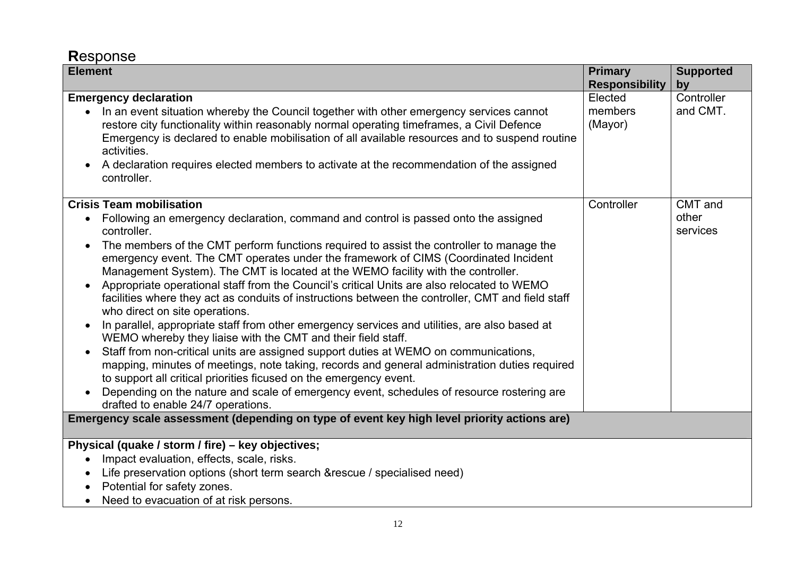## **R**esponse

| <b>Element</b>                                                                                                                                                                                                                                                                                                                                                                                                                                                                                                                                                                                                                                                                                                                                                                                                                                                                                                                                                                                                                                                                                                                                                                                                       | <b>Primary</b>                | <b>Supported</b>             |
|----------------------------------------------------------------------------------------------------------------------------------------------------------------------------------------------------------------------------------------------------------------------------------------------------------------------------------------------------------------------------------------------------------------------------------------------------------------------------------------------------------------------------------------------------------------------------------------------------------------------------------------------------------------------------------------------------------------------------------------------------------------------------------------------------------------------------------------------------------------------------------------------------------------------------------------------------------------------------------------------------------------------------------------------------------------------------------------------------------------------------------------------------------------------------------------------------------------------|-------------------------------|------------------------------|
|                                                                                                                                                                                                                                                                                                                                                                                                                                                                                                                                                                                                                                                                                                                                                                                                                                                                                                                                                                                                                                                                                                                                                                                                                      | <b>Responsibility</b>         | by                           |
| <b>Emergency declaration</b><br>In an event situation whereby the Council together with other emergency services cannot<br>restore city functionality within reasonably normal operating timeframes, a Civil Defence<br>Emergency is declared to enable mobilisation of all available resources and to suspend routine<br>activities.<br>A declaration requires elected members to activate at the recommendation of the assigned<br>controller.                                                                                                                                                                                                                                                                                                                                                                                                                                                                                                                                                                                                                                                                                                                                                                     | Elected<br>members<br>(Mayor) | Controller<br>and CMT.       |
| <b>Crisis Team mobilisation</b><br>Following an emergency declaration, command and control is passed onto the assigned<br>controller.<br>The members of the CMT perform functions required to assist the controller to manage the<br>emergency event. The CMT operates under the framework of CIMS (Coordinated Incident<br>Management System). The CMT is located at the WEMO facility with the controller.<br>Appropriate operational staff from the Council's critical Units are also relocated to WEMO<br>facilities where they act as conduits of instructions between the controller, CMT and field staff<br>who direct on site operations.<br>In parallel, appropriate staff from other emergency services and utilities, are also based at<br>WEMO whereby they liaise with the CMT and their field staff.<br>Staff from non-critical units are assigned support duties at WEMO on communications,<br>mapping, minutes of meetings, note taking, records and general administration duties required<br>to support all critical priorities ficused on the emergency event.<br>Depending on the nature and scale of emergency event, schedules of resource rostering are<br>drafted to enable 24/7 operations. | Controller                    | CMT and<br>other<br>services |
| Emergency scale assessment (depending on type of event key high level priority actions are)                                                                                                                                                                                                                                                                                                                                                                                                                                                                                                                                                                                                                                                                                                                                                                                                                                                                                                                                                                                                                                                                                                                          |                               |                              |
| Physical (quake / storm / fire) – key objectives;<br>Impact evaluation, effects, scale, risks.<br>Life preservation options (short term search & rescue / specialised need)<br>Potential for safety zones.<br>Need to evacuation of at risk persons.                                                                                                                                                                                                                                                                                                                                                                                                                                                                                                                                                                                                                                                                                                                                                                                                                                                                                                                                                                 |                               |                              |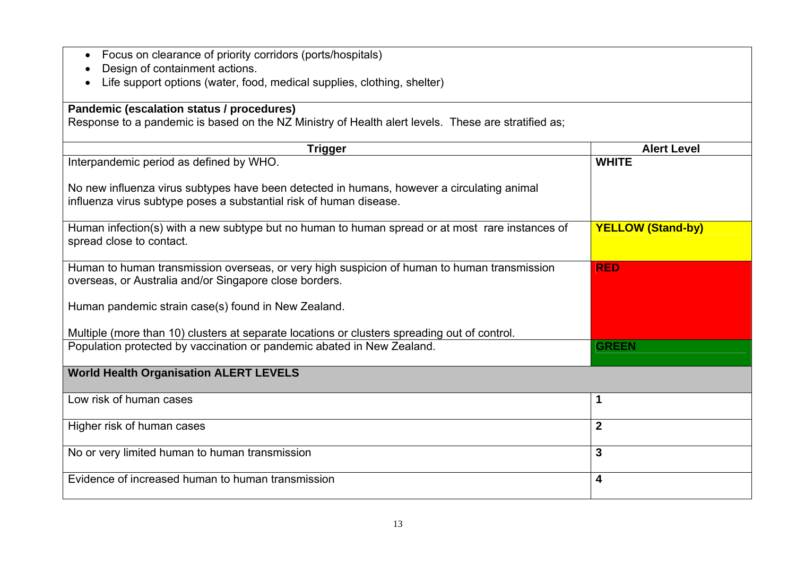| Focus on clearance of priority corridors (ports/hospitals)<br>$\bullet$                             |                          |
|-----------------------------------------------------------------------------------------------------|--------------------------|
| Design of containment actions.                                                                      |                          |
| Life support options (water, food, medical supplies, clothing, shelter)                             |                          |
|                                                                                                     |                          |
| Pandemic (escalation status / procedures)                                                           |                          |
| Response to a pandemic is based on the NZ Ministry of Health alert levels. These are stratified as; |                          |
| <b>Trigger</b>                                                                                      | <b>Alert Level</b>       |
| Interpandemic period as defined by WHO.                                                             | <b>WHITE</b>             |
|                                                                                                     |                          |
| No new influenza virus subtypes have been detected in humans, however a circulating animal          |                          |
| influenza virus subtype poses a substantial risk of human disease.                                  |                          |
|                                                                                                     |                          |
| Human infection(s) with a new subtype but no human to human spread or at most rare instances of     | <b>YELLOW (Stand-by)</b> |
| spread close to contact.                                                                            |                          |
|                                                                                                     |                          |
| Human to human transmission overseas, or very high suspicion of human to human transmission         | <b>RED</b>               |
| overseas, or Australia and/or Singapore close borders.                                              |                          |
|                                                                                                     |                          |
| Human pandemic strain case(s) found in New Zealand.                                                 |                          |
| Multiple (more than 10) clusters at separate locations or clusters spreading out of control.        |                          |
| Population protected by vaccination or pandemic abated in New Zealand.                              | <b>GREEN</b>             |
|                                                                                                     |                          |
| <b>World Health Organisation ALERT LEVELS</b>                                                       |                          |
|                                                                                                     |                          |
| Low risk of human cases                                                                             | 1                        |
|                                                                                                     |                          |
| Higher risk of human cases                                                                          | $\overline{2}$           |
|                                                                                                     |                          |
| No or very limited human to human transmission                                                      | $\mathbf{3}$             |
| Evidence of increased human to human transmission                                                   |                          |
|                                                                                                     | $\overline{\mathbf{4}}$  |
|                                                                                                     |                          |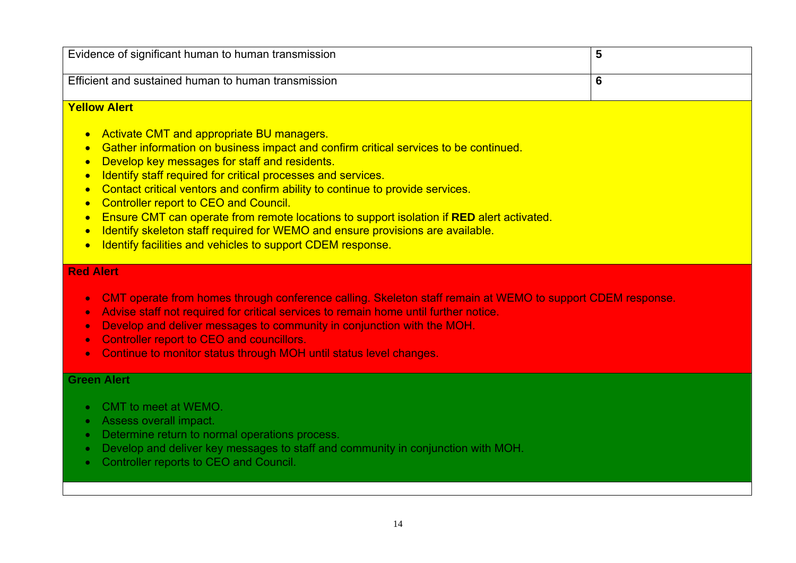| Evidence of significant human to human transmission                                                                                                                                                                                                                                                                                                                                                                                                                                                                                                                                                                                                                   | 5 |
|-----------------------------------------------------------------------------------------------------------------------------------------------------------------------------------------------------------------------------------------------------------------------------------------------------------------------------------------------------------------------------------------------------------------------------------------------------------------------------------------------------------------------------------------------------------------------------------------------------------------------------------------------------------------------|---|
| Efficient and sustained human to human transmission                                                                                                                                                                                                                                                                                                                                                                                                                                                                                                                                                                                                                   | 6 |
| <b>Yellow Alert</b>                                                                                                                                                                                                                                                                                                                                                                                                                                                                                                                                                                                                                                                   |   |
| • Activate CMT and appropriate BU managers.<br>Gather information on business impact and confirm critical services to be continued.<br>Develop key messages for staff and residents.<br>Identify staff required for critical processes and services.<br>• Contact critical ventors and confirm ability to continue to provide services.<br><b>Controller report to CEO and Council.</b><br>$\bullet$<br>Ensure CMT can operate from remote locations to support isolation if RED alert activated.<br>Identify skeleton staff required for WEMO and ensure provisions are available.<br>Identify facilities and vehicles to support CDEM response.<br><b>Red Alert</b> |   |
|                                                                                                                                                                                                                                                                                                                                                                                                                                                                                                                                                                                                                                                                       |   |

- CMT operate from homes through conference calling. Skeleton staff remain at WEMO to support CDEM response.
- Advise staff not required for critical services to remain home until further notice.
- Develop and deliver messages to community in conjunction with the MOH.
- Controller report to CEO and councillors.
- Continue to monitor status through MOH until status level changes.

### **Green Alert**

- CMT to meet at WEMO.
- Assess overall impact.
- Determine return to normal operations process.
- Develop and deliver key messages to staff and community in conjunction with MOH.
- Controller reports to CEO and Council.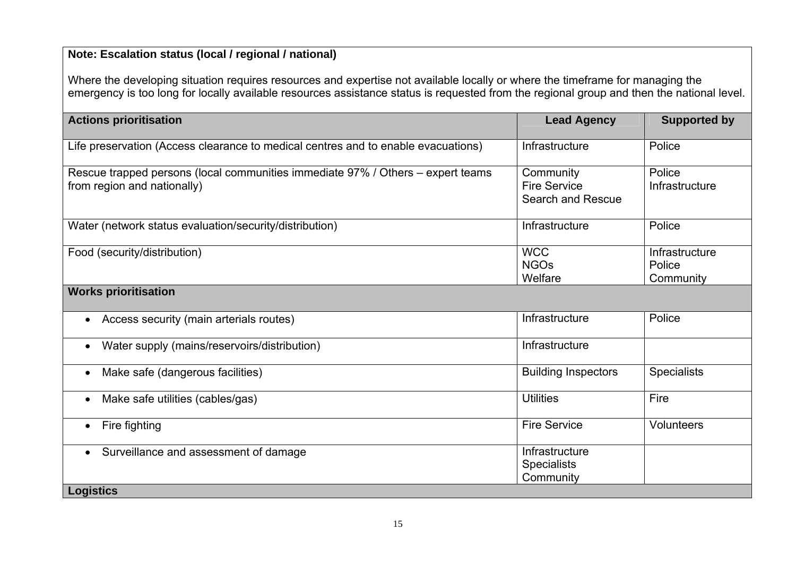### **Note: Escalation status (local / regional / national)**

Where the developing situation requires resources and expertise not available locally or where the timeframe for managing the emergency is too long for locally available resources assistance status is requested from the regional group and then the national level.

| <b>Actions prioritisation</b>                                                                                  | <b>Lead Agency</b>                                    | <b>Supported by</b>                   |
|----------------------------------------------------------------------------------------------------------------|-------------------------------------------------------|---------------------------------------|
| Life preservation (Access clearance to medical centres and to enable evacuations)                              | Infrastructure                                        | Police                                |
| Rescue trapped persons (local communities immediate 97% / Others – expert teams<br>from region and nationally) | Community<br><b>Fire Service</b><br>Search and Rescue | Police<br>Infrastructure              |
| Water (network status evaluation/security/distribution)                                                        | Infrastructure                                        | Police                                |
| Food (security/distribution)                                                                                   | <b>WCC</b><br><b>NGOs</b><br>Welfare                  | Infrastructure<br>Police<br>Community |
| <b>Works prioritisation</b>                                                                                    |                                                       |                                       |
| Access security (main arterials routes)<br>$\bullet$                                                           | Infrastructure                                        | Police                                |
| Water supply (mains/reservoirs/distribution)                                                                   | Infrastructure                                        |                                       |
| Make safe (dangerous facilities)<br>$\bullet$                                                                  | <b>Building Inspectors</b>                            | <b>Specialists</b>                    |
| Make safe utilities (cables/gas)                                                                               | <b>Utilities</b>                                      | Fire                                  |
| Fire fighting                                                                                                  | <b>Fire Service</b>                                   | <b>Volunteers</b>                     |
| Surveillance and assessment of damage<br>$\bullet$                                                             | Infrastructure<br><b>Specialists</b><br>Community     |                                       |
| <b>Logistics</b>                                                                                               |                                                       |                                       |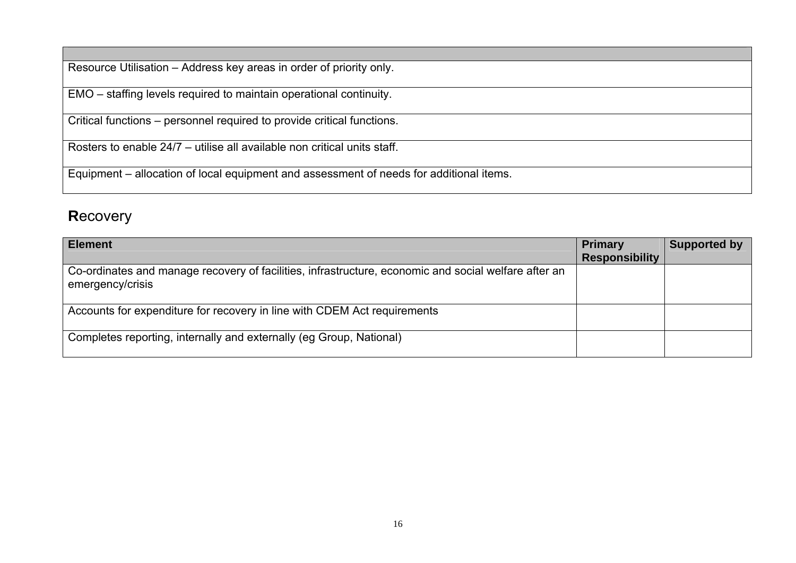Resource Utilisation – Address key areas in order of priority only.

EMO – staffing levels required to maintain operational continuity.

Critical functions – personnel required to provide critical functions.

Rosters to enable 24/7 – utilise all available non critical units staff.

Equipment – allocation of local equipment and assessment of needs for additional items.

## **R**ecovery

| <b>Element</b>                                                                                                           | <b>Primary</b>        | <b>Supported by</b> |
|--------------------------------------------------------------------------------------------------------------------------|-----------------------|---------------------|
|                                                                                                                          | <b>Responsibility</b> |                     |
| Co-ordinates and manage recovery of facilities, infrastructure, economic and social welfare after an<br>emergency/crisis |                       |                     |
| Accounts for expenditure for recovery in line with CDEM Act requirements                                                 |                       |                     |
| Completes reporting, internally and externally (eg Group, National)                                                      |                       |                     |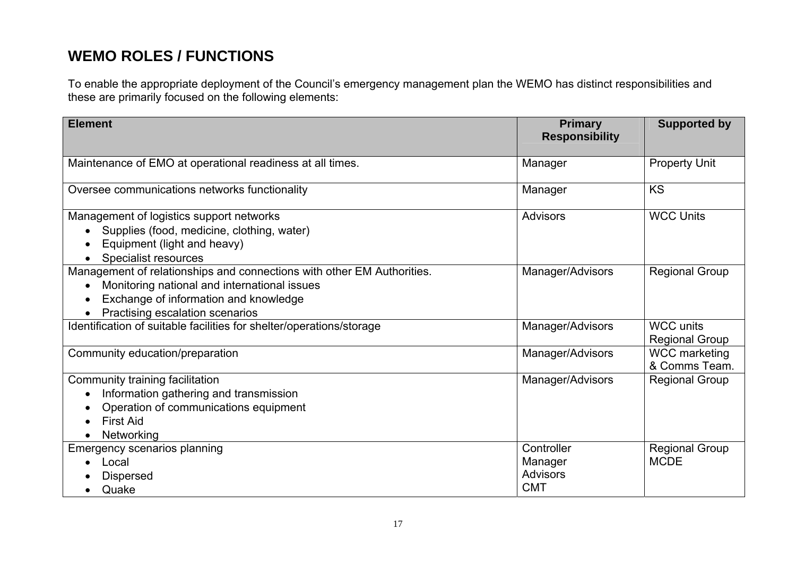## **WEMO ROLES / FUNCTIONS**

To enable the appropriate deployment of the Council's emergency management plan the WEMO has distinct responsibilities and these are primarily focused on the following elements:

| <b>Element</b>                                                                                                                                                                                                  | <b>Primary</b><br><b>Responsibility</b>                | <b>Supported by</b>                       |
|-----------------------------------------------------------------------------------------------------------------------------------------------------------------------------------------------------------------|--------------------------------------------------------|-------------------------------------------|
| Maintenance of EMO at operational readiness at all times.                                                                                                                                                       | Manager                                                | <b>Property Unit</b>                      |
| Oversee communications networks functionality                                                                                                                                                                   | Manager                                                | <b>KS</b>                                 |
| Management of logistics support networks<br>Supplies (food, medicine, clothing, water)<br>Equipment (light and heavy)<br><b>Specialist resources</b>                                                            | <b>Advisors</b>                                        | <b>WCC Units</b>                          |
| Management of relationships and connections with other EM Authorities.<br>Monitoring national and international issues<br>$\bullet$<br>Exchange of information and knowledge<br>Practising escalation scenarios | Manager/Advisors                                       | <b>Regional Group</b>                     |
| Identification of suitable facilities for shelter/operations/storage                                                                                                                                            | Manager/Advisors                                       | <b>WCC units</b><br><b>Regional Group</b> |
| Community education/preparation                                                                                                                                                                                 | Manager/Advisors                                       | <b>WCC</b> marketing<br>& Comms Team.     |
| Community training facilitation<br>Information gathering and transmission<br>Operation of communications equipment<br><b>First Aid</b><br>Networking                                                            | Manager/Advisors                                       | <b>Regional Group</b>                     |
| Emergency scenarios planning<br>Local<br><b>Dispersed</b><br>Quake                                                                                                                                              | Controller<br>Manager<br><b>Advisors</b><br><b>CMT</b> | <b>Regional Group</b><br><b>MCDE</b>      |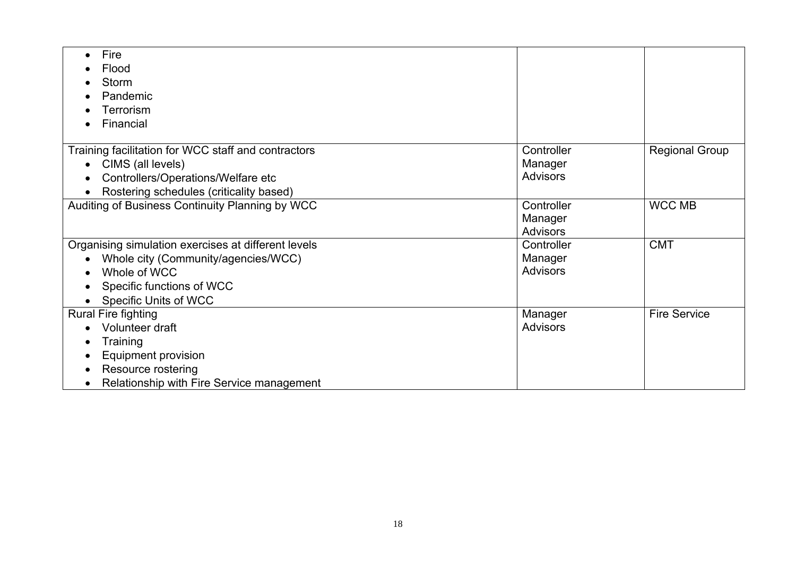| Fire                                                |                 |                       |
|-----------------------------------------------------|-----------------|-----------------------|
| Flood                                               |                 |                       |
| <b>Storm</b>                                        |                 |                       |
| Pandemic                                            |                 |                       |
| Terrorism                                           |                 |                       |
| Financial                                           |                 |                       |
|                                                     |                 |                       |
| Training facilitation for WCC staff and contractors | Controller      | <b>Regional Group</b> |
| CIMS (all levels)                                   | Manager         |                       |
| Controllers/Operations/Welfare etc<br>$\bullet$     | <b>Advisors</b> |                       |
| Rostering schedules (criticality based)             |                 |                       |
| Auditing of Business Continuity Planning by WCC     | Controller      | <b>WCC MB</b>         |
|                                                     | Manager         |                       |
|                                                     | <b>Advisors</b> |                       |
| Organising simulation exercises at different levels | Controller      | <b>CMT</b>            |
| Whole city (Community/agencies/WCC)                 | Manager         |                       |
| Whole of WCC                                        | <b>Advisors</b> |                       |
| Specific functions of WCC                           |                 |                       |
| <b>Specific Units of WCC</b>                        |                 |                       |
| Rural Fire fighting                                 | Manager         | <b>Fire Service</b>   |
| Volunteer draft                                     | <b>Advisors</b> |                       |
| Training                                            |                 |                       |
| Equipment provision                                 |                 |                       |
| Resource rostering                                  |                 |                       |
| Relationship with Fire Service management           |                 |                       |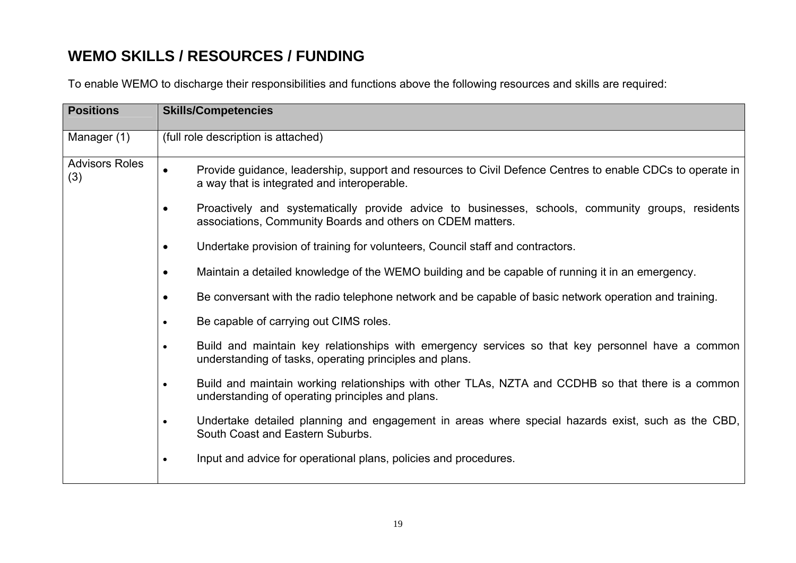## **WEMO SKILLS / RESOURCES / FUNDING**

To enable WEMO to discharge their responsibilities and functions above the following resources and skills are required:

| <b>Positions</b>             | <b>Skills/Competencies</b>                                                                                                                                                   |  |  |  |  |  |
|------------------------------|------------------------------------------------------------------------------------------------------------------------------------------------------------------------------|--|--|--|--|--|
| Manager (1)                  | (full role description is attached)                                                                                                                                          |  |  |  |  |  |
| <b>Advisors Roles</b><br>(3) | Provide guidance, leadership, support and resources to Civil Defence Centres to enable CDCs to operate in<br>$\bullet$<br>a way that is integrated and interoperable.        |  |  |  |  |  |
|                              | Proactively and systematically provide advice to businesses, schools, community groups, residents<br>$\bullet$<br>associations, Community Boards and others on CDEM matters. |  |  |  |  |  |
|                              | Undertake provision of training for volunteers, Council staff and contractors.<br>$\bullet$                                                                                  |  |  |  |  |  |
|                              | Maintain a detailed knowledge of the WEMO building and be capable of running it in an emergency.<br>$\bullet$                                                                |  |  |  |  |  |
|                              | Be conversant with the radio telephone network and be capable of basic network operation and training.<br>$\bullet$                                                          |  |  |  |  |  |
|                              | Be capable of carrying out CIMS roles.<br>$\bullet$                                                                                                                          |  |  |  |  |  |
|                              | Build and maintain key relationships with emergency services so that key personnel have a common<br>$\bullet$<br>understanding of tasks, operating principles and plans.     |  |  |  |  |  |
|                              | Build and maintain working relationships with other TLAs, NZTA and CCDHB so that there is a common<br>$\bullet$<br>understanding of operating principles and plans.          |  |  |  |  |  |
|                              | Undertake detailed planning and engagement in areas where special hazards exist, such as the CBD,<br>$\bullet$<br>South Coast and Eastern Suburbs.                           |  |  |  |  |  |
|                              | Input and advice for operational plans, policies and procedures.<br>$\bullet$                                                                                                |  |  |  |  |  |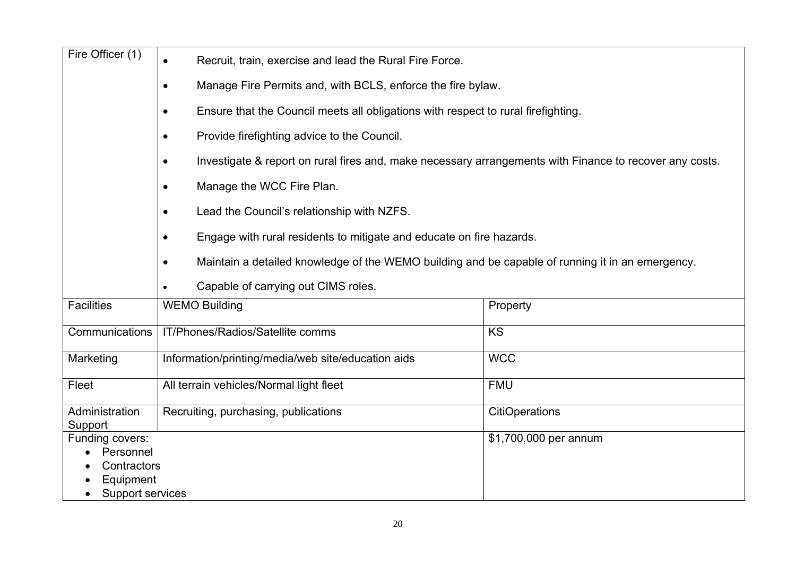| Fire Officer (1)             | Recruit, train, exercise and lead the Rural Fire Force.<br>$\bullet$                                          |                       |  |  |  |  |
|------------------------------|---------------------------------------------------------------------------------------------------------------|-----------------------|--|--|--|--|
|                              | Manage Fire Permits and, with BCLS, enforce the fire bylaw.<br>$\bullet$                                      |                       |  |  |  |  |
|                              | Ensure that the Council meets all obligations with respect to rural firefighting.<br>$\bullet$                |                       |  |  |  |  |
|                              | Provide firefighting advice to the Council.<br>$\bullet$                                                      |                       |  |  |  |  |
|                              | Investigate & report on rural fires and, make necessary arrangements with Finance to recover any costs.       |                       |  |  |  |  |
|                              | Manage the WCC Fire Plan.<br>$\bullet$                                                                        |                       |  |  |  |  |
|                              | Lead the Council's relationship with NZFS.<br>$\bullet$                                                       |                       |  |  |  |  |
|                              | Engage with rural residents to mitigate and educate on fire hazards.<br>$\bullet$                             |                       |  |  |  |  |
|                              | Maintain a detailed knowledge of the WEMO building and be capable of running it in an emergency.<br>$\bullet$ |                       |  |  |  |  |
|                              | Capable of carrying out CIMS roles.                                                                           |                       |  |  |  |  |
| <b>Facilities</b>            | <b>WEMO Building</b>                                                                                          | Property              |  |  |  |  |
| Communications               | IT/Phones/Radios/Satellite comms                                                                              | <b>KS</b>             |  |  |  |  |
| Marketing                    | Information/printing/media/web site/education aids                                                            | <b>WCC</b>            |  |  |  |  |
| Fleet                        | All terrain vehicles/Normal light fleet                                                                       | <b>FMU</b>            |  |  |  |  |
| Administration<br>Support    | Recruiting, purchasing, publications                                                                          | <b>CitiOperations</b> |  |  |  |  |
| Funding covers:<br>Personnel |                                                                                                               | \$1,700,000 per annum |  |  |  |  |
| Contractors<br>Equipment     |                                                                                                               |                       |  |  |  |  |
| Support services             |                                                                                                               |                       |  |  |  |  |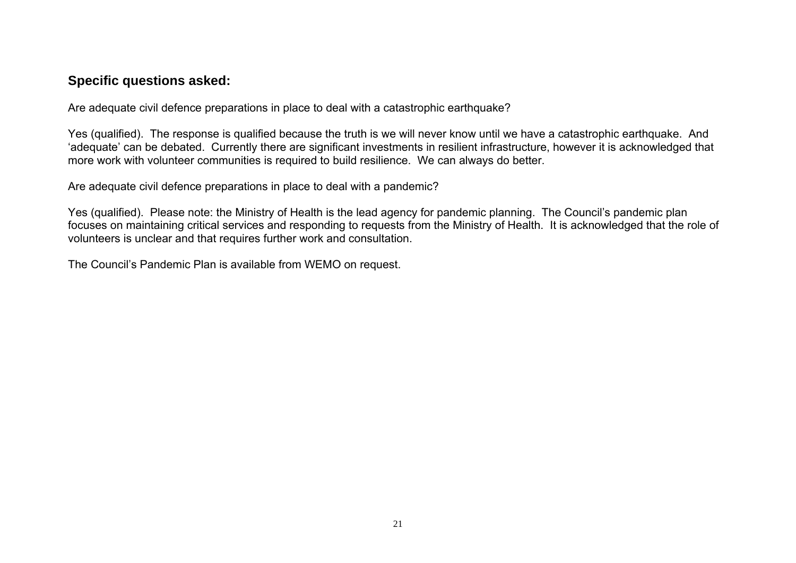### **Specific questions asked:**

Are adequate civil defence preparations in place to deal with a catastrophic earthquake?

Yes (qualified). The response is qualified because the truth is we will never know until we have a catastrophic earthquake. And 'adequate' can be debated. Currently there are significant investments in resilient infrastructure, however it is acknowledged that more work with volunteer communities is required to build resilience. We can always do better.

Are adequate civil defence preparations in place to deal with a pandemic?

Yes (qualified). Please note: the Ministry of Health is the lead agency for pandemic planning. The Council's pandemic plan focuses on maintaining critical services and responding to requests from the Ministry of Health. It is acknowledged that the role of volunteers is unclear and that requires further work and consultation.

The Council's Pandemic Plan is available from WEMO on request.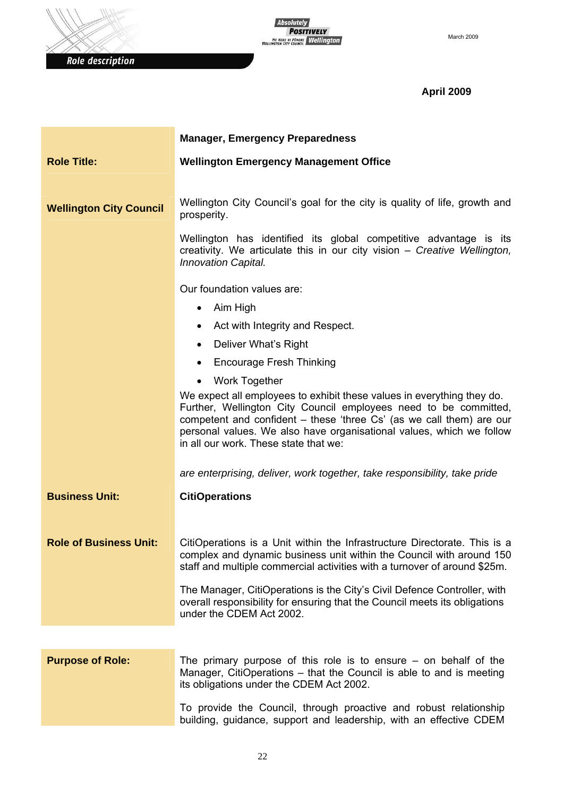



### **April 2009**

|                                | <b>Manager, Emergency Preparedness</b>                                                                                                                                                                                                                                                                                              |
|--------------------------------|-------------------------------------------------------------------------------------------------------------------------------------------------------------------------------------------------------------------------------------------------------------------------------------------------------------------------------------|
| <b>Role Title:</b>             | <b>Wellington Emergency Management Office</b>                                                                                                                                                                                                                                                                                       |
|                                |                                                                                                                                                                                                                                                                                                                                     |
| <b>Wellington City Council</b> | Wellington City Council's goal for the city is quality of life, growth and<br>prosperity.                                                                                                                                                                                                                                           |
|                                | Wellington has identified its global competitive advantage is its<br>creativity. We articulate this in our city vision - Creative Wellington,<br><b>Innovation Capital.</b>                                                                                                                                                         |
|                                | Our foundation values are:                                                                                                                                                                                                                                                                                                          |
|                                | Aim High<br>$\bullet$                                                                                                                                                                                                                                                                                                               |
|                                | Act with Integrity and Respect.                                                                                                                                                                                                                                                                                                     |
|                                | Deliver What's Right                                                                                                                                                                                                                                                                                                                |
|                                | <b>Encourage Fresh Thinking</b>                                                                                                                                                                                                                                                                                                     |
|                                | <b>Work Together</b><br>$\bullet$                                                                                                                                                                                                                                                                                                   |
|                                | We expect all employees to exhibit these values in everything they do.<br>Further, Wellington City Council employees need to be committed,<br>competent and confident - these 'three Cs' (as we call them) are our<br>personal values. We also have organisational values, which we follow<br>in all our work. These state that we: |
|                                | are enterprising, deliver, work together, take responsibility, take pride                                                                                                                                                                                                                                                           |
| <b>Business Unit:</b>          | <b>CitiOperations</b>                                                                                                                                                                                                                                                                                                               |
|                                |                                                                                                                                                                                                                                                                                                                                     |
| <b>Role of Business Unit:</b>  | CitiOperations is a Unit within the Infrastructure Directorate. This is a<br>complex and dynamic business unit within the Council with around 150<br>staff and multiple commercial activities with a turnover of around \$25m.                                                                                                      |
|                                | The Manager, CitiOperations is the City's Civil Defence Controller, with<br>overall responsibility for ensuring that the Council meets its obligations<br>under the CDEM Act 2002.                                                                                                                                                  |
|                                |                                                                                                                                                                                                                                                                                                                                     |
| <b>Purpose of Role:</b>        | The primary purpose of this role is to ensure $-$ on behalf of the<br>Manager, CitiOperations - that the Council is able to and is meeting<br>its obligations under the CDEM Act 2002.                                                                                                                                              |
|                                | To provide the Council, through proactive and robust relationship<br>building, guidance, support and leadership, with an effective CDEM                                                                                                                                                                                             |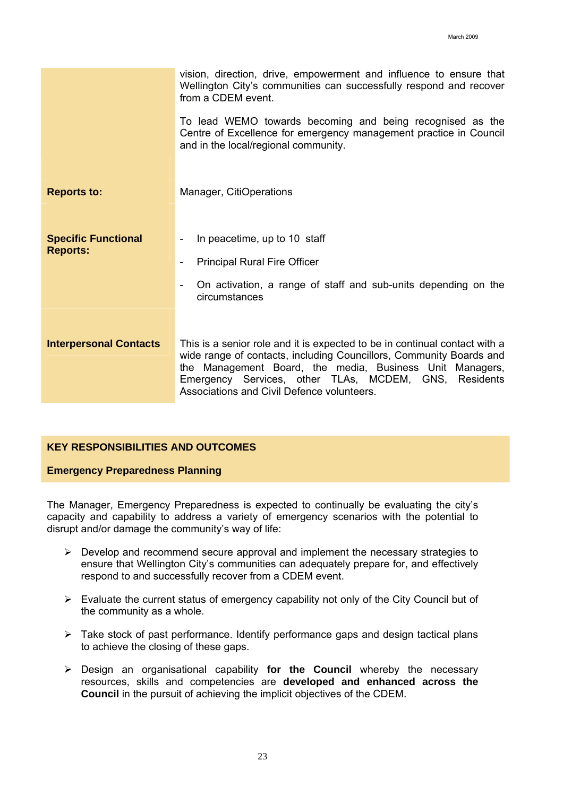vision, direction, drive, empowerment and influence to ensure that Wellington City's communities can successfully respond and recover from a CDEM event.

To lead WEMO towards becoming and being recognised as the Centre of Excellence for emergency management practice in Council and in the local/regional community.

**Reports to: Manager, CitiOperations** 

- **Specific Functional Reports:**  - In peacetime, up to 10 staff - Principal Rural Fire Officer
	- On activation, a range of staff and sub-units depending on the circumstances
- **Interpersonal Contacts** This is a senior role and it is expected to be in continual contact with a wide range of contacts, including Councillors, Community Boards and the Management Board, the media, Business Unit Managers, Emergency Services, other TLAs, MCDEM, GNS, Residents Associations and Civil Defence volunteers.

#### **KEY RESPONSIBILITIES AND OUTCOMES**

#### **Emergency Preparedness Planning**

The Manager, Emergency Preparedness is expected to continually be evaluating the city's capacity and capability to address a variety of emergency scenarios with the potential to disrupt and/or damage the community's way of life:

- $\triangleright$  Develop and recommend secure approval and implement the necessary strategies to ensure that Wellington City's communities can adequately prepare for, and effectively respond to and successfully recover from a CDEM event.
- $\triangleright$  Evaluate the current status of emergency capability not only of the City Council but of the community as a whole.
- $\triangleright$  Take stock of past performance. Identify performance gaps and design tactical plans to achieve the closing of these gaps.
- ¾ Design an organisational capability **for the Council** whereby the necessary resources, skills and competencies are **developed and enhanced across the Council** in the pursuit of achieving the implicit objectives of the CDEM.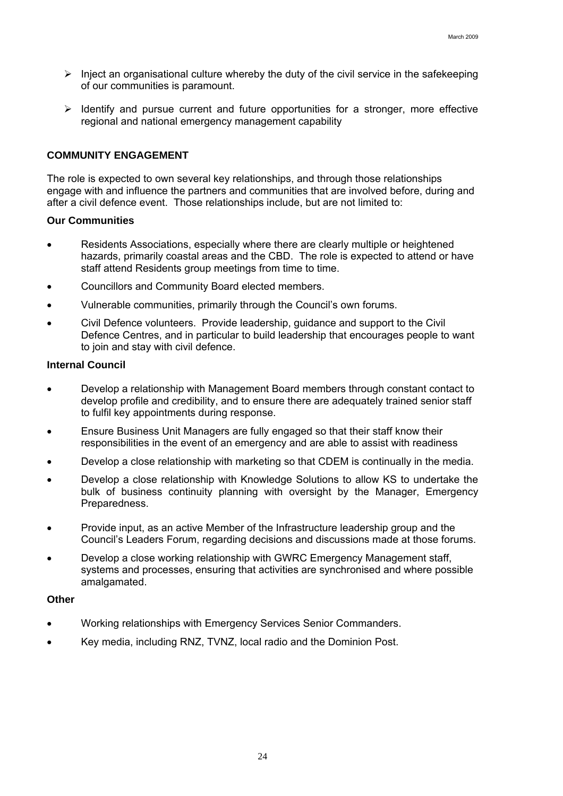- $\triangleright$  Inject an organisational culture whereby the duty of the civil service in the safekeeping of our communities is paramount.
- $\geq$  Identify and pursue current and future opportunities for a stronger, more effective regional and national emergency management capability

#### **COMMUNITY ENGAGEMENT**

The role is expected to own several key relationships, and through those relationships engage with and influence the partners and communities that are involved before, during and after a civil defence event. Those relationships include, but are not limited to:

#### **Our Communities**

- Residents Associations, especially where there are clearly multiple or heightened hazards, primarily coastal areas and the CBD. The role is expected to attend or have staff attend Residents group meetings from time to time.
- Councillors and Community Board elected members.
- Vulnerable communities, primarily through the Council's own forums.
- Civil Defence volunteers. Provide leadership, guidance and support to the Civil Defence Centres, and in particular to build leadership that encourages people to want to join and stay with civil defence.

#### **Internal Council**

- Develop a relationship with Management Board members through constant contact to develop profile and credibility, and to ensure there are adequately trained senior staff to fulfil key appointments during response.
- Ensure Business Unit Managers are fully engaged so that their staff know their responsibilities in the event of an emergency and are able to assist with readiness
- Develop a close relationship with marketing so that CDEM is continually in the media.
- Develop a close relationship with Knowledge Solutions to allow KS to undertake the bulk of business continuity planning with oversight by the Manager, Emergency Preparedness.
- Provide input, as an active Member of the Infrastructure leadership group and the Council's Leaders Forum, regarding decisions and discussions made at those forums.
- Develop a close working relationship with GWRC Emergency Management staff, systems and processes, ensuring that activities are synchronised and where possible amalgamated.

#### **Other**

- Working relationships with Emergency Services Senior Commanders.
- Key media, including RNZ, TVNZ, local radio and the Dominion Post.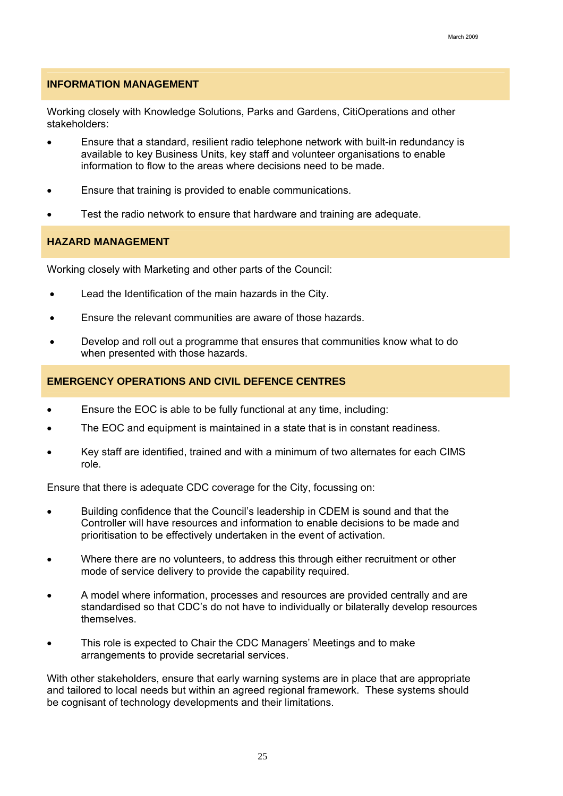#### **INFORMATION MANAGEMENT**

Working closely with Knowledge Solutions, Parks and Gardens, CitiOperations and other stakeholders:

- Ensure that a standard, resilient radio telephone network with built-in redundancy is available to key Business Units, key staff and volunteer organisations to enable information to flow to the areas where decisions need to be made.
- Ensure that training is provided to enable communications.
- Test the radio network to ensure that hardware and training are adequate.

#### **HAZARD MANAGEMENT**

Working closely with Marketing and other parts of the Council:

- Lead the Identification of the main hazards in the City.
- Ensure the relevant communities are aware of those hazards.
- Develop and roll out a programme that ensures that communities know what to do when presented with those hazards.

#### **EMERGENCY OPERATIONS AND CIVIL DEFENCE CENTRES**

- Ensure the EOC is able to be fully functional at any time, including:
- The EOC and equipment is maintained in a state that is in constant readiness.
- Key staff are identified, trained and with a minimum of two alternates for each CIMS role.

Ensure that there is adequate CDC coverage for the City, focussing on:

- Building confidence that the Council's leadership in CDEM is sound and that the Controller will have resources and information to enable decisions to be made and prioritisation to be effectively undertaken in the event of activation.
- Where there are no volunteers, to address this through either recruitment or other mode of service delivery to provide the capability required.
- A model where information, processes and resources are provided centrally and are standardised so that CDC's do not have to individually or bilaterally develop resources themselves.
- This role is expected to Chair the CDC Managers' Meetings and to make arrangements to provide secretarial services.

With other stakeholders, ensure that early warning systems are in place that are appropriate and tailored to local needs but within an agreed regional framework. These systems should be cognisant of technology developments and their limitations.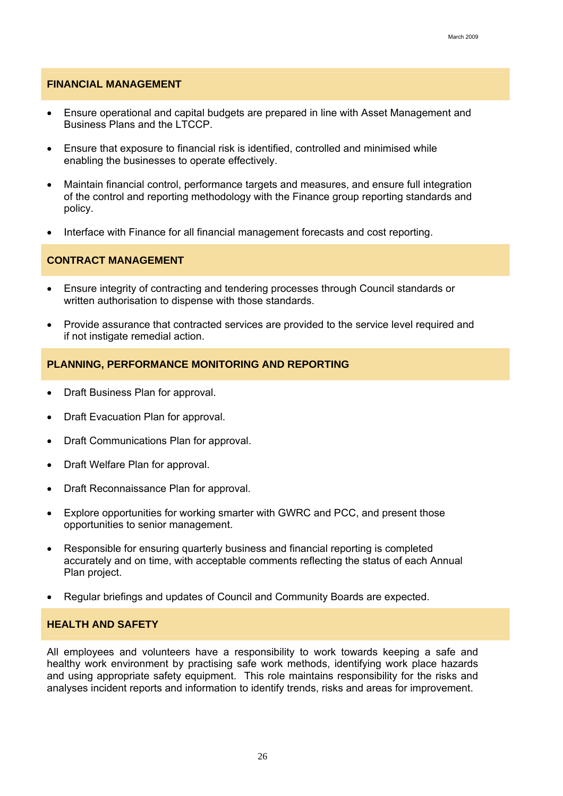#### **FINANCIAL MANAGEMENT**

- Ensure operational and capital budgets are prepared in line with Asset Management and Business Plans and the LTCCP.
- Ensure that exposure to financial risk is identified, controlled and minimised while enabling the businesses to operate effectively.
- Maintain financial control, performance targets and measures, and ensure full integration of the control and reporting methodology with the Finance group reporting standards and policy.
- Interface with Finance for all financial management forecasts and cost reporting.

#### **CONTRACT MANAGEMENT**

- Ensure integrity of contracting and tendering processes through Council standards or written authorisation to dispense with those standards.
- Provide assurance that contracted services are provided to the service level required and if not instigate remedial action.

#### **PLANNING, PERFORMANCE MONITORING AND REPORTING**

- Draft Business Plan for approval.
- Draft Evacuation Plan for approval.
- Draft Communications Plan for approval.
- Draft Welfare Plan for approval.
- Draft Reconnaissance Plan for approval.
- Explore opportunities for working smarter with GWRC and PCC, and present those opportunities to senior management.
- Responsible for ensuring quarterly business and financial reporting is completed accurately and on time, with acceptable comments reflecting the status of each Annual Plan project.
- Regular briefings and updates of Council and Community Boards are expected.

#### **HEALTH AND SAFETY**

All employees and volunteers have a responsibility to work towards keeping a safe and healthy work environment by practising safe work methods, identifying work place hazards and using appropriate safety equipment. This role maintains responsibility for the risks and analyses incident reports and information to identify trends, risks and areas for improvement.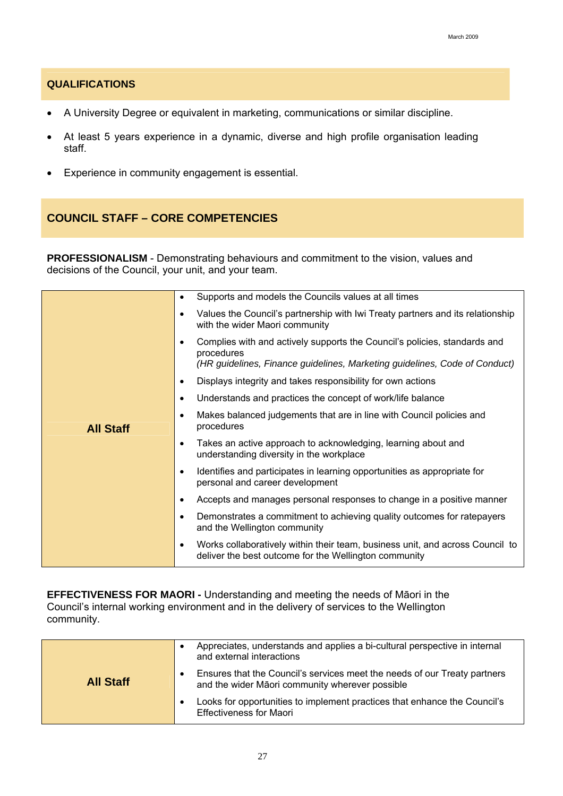#### **QUALIFICATIONS**

- A University Degree or equivalent in marketing, communications or similar discipline.
- At least 5 years experience in a dynamic, diverse and high profile organisation leading staff.
- Experience in community engagement is essential.

### **COUNCIL STAFF – CORE COMPETENCIES**

**PROFESSIONALISM** - Demonstrating behaviours and commitment to the vision, values and decisions of the Council, your unit, and your team.

| ٠         | Supports and models the Councils values at all times                                                                                                                  |
|-----------|-----------------------------------------------------------------------------------------------------------------------------------------------------------------------|
| $\bullet$ | Values the Council's partnership with Iwi Treaty partners and its relationship<br>with the wider Maori community                                                      |
| $\bullet$ | Complies with and actively supports the Council's policies, standards and<br>procedures<br>(HR guidelines, Finance guidelines, Marketing guidelines, Code of Conduct) |
| $\bullet$ | Displays integrity and takes responsibility for own actions                                                                                                           |
| $\bullet$ | Understands and practices the concept of work/life balance                                                                                                            |
| ٠         | Makes balanced judgements that are in line with Council policies and<br>procedures                                                                                    |
| $\bullet$ | Takes an active approach to acknowledging, learning about and<br>understanding diversity in the workplace                                                             |
| $\bullet$ | Identifies and participates in learning opportunities as appropriate for<br>personal and career development                                                           |
| $\bullet$ | Accepts and manages personal responses to change in a positive manner                                                                                                 |
| $\bullet$ | Demonstrates a commitment to achieving quality outcomes for ratepayers<br>and the Wellington community                                                                |
| ٠         | Works collaboratively within their team, business unit, and across Council to<br>deliver the best outcome for the Wellington community                                |
|           |                                                                                                                                                                       |

**EFFECTIVENESS FOR MAORI -** Understanding and meeting the needs of Māori in the Council's internal working environment and in the delivery of services to the Wellington community.

|                  | Appreciates, understands and applies a bi-cultural perspective in internal<br>and external interactions                      |
|------------------|------------------------------------------------------------------------------------------------------------------------------|
| <b>All Staff</b> | Ensures that the Council's services meet the needs of our Treaty partners<br>and the wider Māori community wherever possible |
|                  | Looks for opportunities to implement practices that enhance the Council's<br><b>Effectiveness for Maori</b>                  |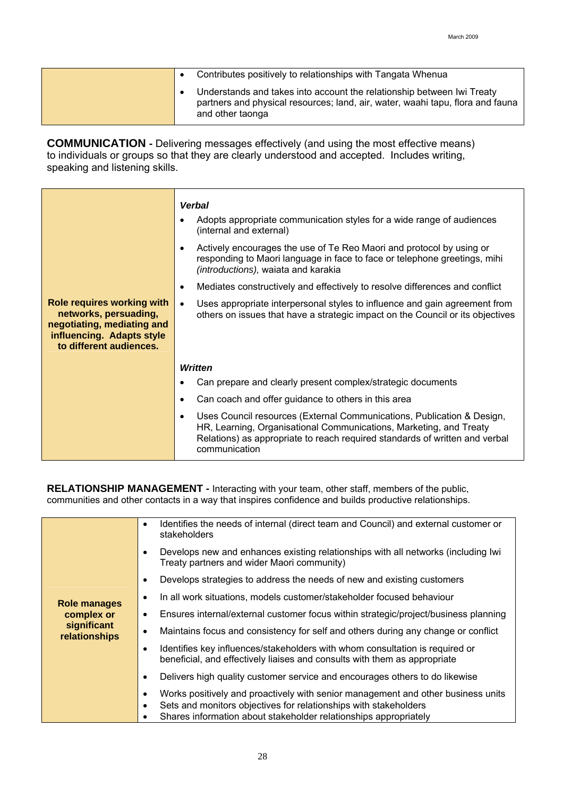|  | Contributes positively to relationships with Tangata Whenua                                                                                                                  |
|--|------------------------------------------------------------------------------------------------------------------------------------------------------------------------------|
|  | Understands and takes into account the relationship between Iwi Treaty<br>partners and physical resources; land, air, water, waahi tapu, flora and fauna<br>and other taonga |

**COMMUNICATION -** Delivering messages effectively (and using the most effective means) to individuals or groups so that they are clearly understood and accepted. Includes writing, speaking and listening skills.

|                                                                                                                                                  | <b>Verbal</b><br>Adopts appropriate communication styles for a wide range of audiences<br>(internal and external)<br>Actively encourages the use of Te Reo Maori and protocol by using or<br>responding to Maori language in face to face or telephone greetings, mihi |
|--------------------------------------------------------------------------------------------------------------------------------------------------|------------------------------------------------------------------------------------------------------------------------------------------------------------------------------------------------------------------------------------------------------------------------|
|                                                                                                                                                  | (introductions), waiata and karakia<br>Mediates constructively and effectively to resolve differences and conflict                                                                                                                                                     |
| <b>Role requires working with</b><br>networks, persuading,<br>negotiating, mediating and<br>influencing. Adapts style<br>to different audiences. | Uses appropriate interpersonal styles to influence and gain agreement from<br>$\bullet$<br>others on issues that have a strategic impact on the Council or its objectives                                                                                              |
|                                                                                                                                                  | <b>Written</b>                                                                                                                                                                                                                                                         |
|                                                                                                                                                  | Can prepare and clearly present complex/strategic documents                                                                                                                                                                                                            |
|                                                                                                                                                  | Can coach and offer guidance to others in this area                                                                                                                                                                                                                    |
|                                                                                                                                                  | Uses Council resources (External Communications, Publication & Design,<br>$\bullet$<br>HR, Learning, Organisational Communications, Marketing, and Treaty<br>Relations) as appropriate to reach required standards of written and verbal<br>communication              |

**RELATIONSHIP MANAGEMENT** *-* Interacting with your team, other staff, members of the public, communities and other contacts in a way that inspires confidence and builds productive relationships.

|                                                                                                                       | Identifies the needs of internal (direct team and Council) and external customer or<br>$\bullet$<br>stakeholders                                                                                                         |
|-----------------------------------------------------------------------------------------------------------------------|--------------------------------------------------------------------------------------------------------------------------------------------------------------------------------------------------------------------------|
| $\bullet$<br>Role manages<br>complex or<br>٠<br>significant<br>٠<br>relationships<br>$\bullet$<br>$\bullet$<br>٠<br>٠ | Develops new and enhances existing relationships with all networks (including lwi<br>Treaty partners and wider Maori community)                                                                                          |
|                                                                                                                       | Develops strategies to address the needs of new and existing customers                                                                                                                                                   |
|                                                                                                                       | In all work situations, models customer/stakeholder focused behaviour                                                                                                                                                    |
|                                                                                                                       | Ensures internal/external customer focus within strategic/project/business planning                                                                                                                                      |
|                                                                                                                       | Maintains focus and consistency for self and others during any change or conflict                                                                                                                                        |
|                                                                                                                       | Identifies key influences/stakeholders with whom consultation is required or<br>beneficial, and effectively liaises and consults with them as appropriate                                                                |
|                                                                                                                       | Delivers high quality customer service and encourages others to do likewise                                                                                                                                              |
|                                                                                                                       | Works positively and proactively with senior management and other business units<br>Sets and monitors objectives for relationships with stakeholders<br>Shares information about stakeholder relationships appropriately |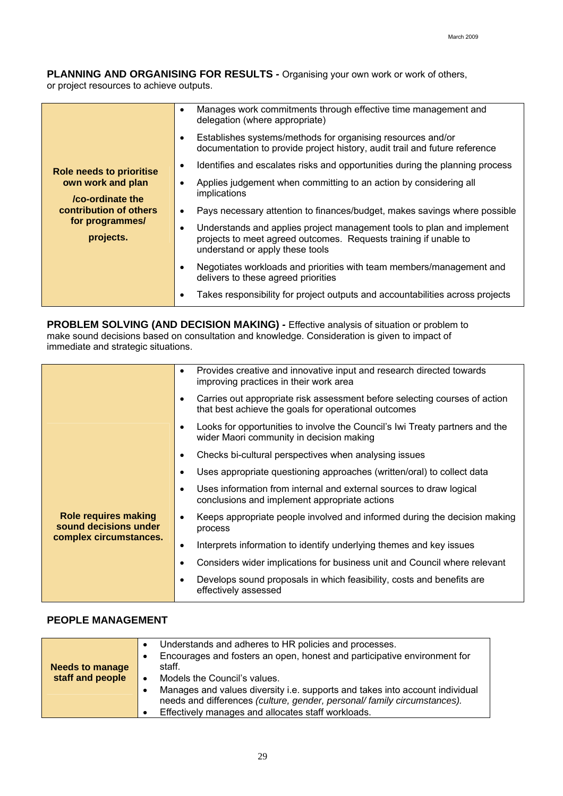**PLANNING AND ORGANISING FOR RESULTS** *-* Organising your own work or work of others, or project resources to achieve outputs.

|                                       | $\bullet$ | Manages work commitments through effective time management and<br>delegation (where appropriate)                                                                              |
|---------------------------------------|-----------|-------------------------------------------------------------------------------------------------------------------------------------------------------------------------------|
|                                       | $\bullet$ | Establishes systems/methods for organising resources and/or<br>documentation to provide project history, audit trail and future reference                                     |
| <b>Role needs to prioritise</b>       | ٠         | Identifies and escalates risks and opportunities during the planning process                                                                                                  |
| own work and plan<br>/co-ordinate the | $\bullet$ | Applies judgement when committing to an action by considering all<br>implications                                                                                             |
| contribution of others                | $\bullet$ | Pays necessary attention to finances/budget, makes savings where possible                                                                                                     |
| for programmes/<br>projects.          | ٠         | Understands and applies project management tools to plan and implement<br>projects to meet agreed outcomes. Requests training if unable to<br>understand or apply these tools |
|                                       | ٠         | Negotiates workloads and priorities with team members/management and<br>delivers to these agreed priorities                                                                   |
|                                       | ٠         | Takes responsibility for project outputs and accountabilities across projects                                                                                                 |

**PROBLEM SOLVING (AND DECISION MAKING)** *-* Effective analysis of situation or problem to make sound decisions based on consultation and knowledge. Consideration is given to impact of immediate and strategic situations.

|                                                      | $\bullet$ | Provides creative and innovative input and research directed towards<br>improving practices in their work area                     |
|------------------------------------------------------|-----------|------------------------------------------------------------------------------------------------------------------------------------|
|                                                      | ٠         | Carries out appropriate risk assessment before selecting courses of action<br>that best achieve the goals for operational outcomes |
|                                                      | ٠         | Looks for opportunities to involve the Council's Iwi Treaty partners and the<br>wider Maori community in decision making           |
|                                                      | ٠         | Checks bi-cultural perspectives when analysing issues                                                                              |
|                                                      | ٠         | Uses appropriate questioning approaches (written/oral) to collect data                                                             |
|                                                      | ٠         | Uses information from internal and external sources to draw logical<br>conclusions and implement appropriate actions               |
| <b>Role requires making</b><br>sound decisions under |           | Keeps appropriate people involved and informed during the decision making<br>process                                               |
| complex circumstances.                               | $\bullet$ | Interprets information to identify underlying themes and key issues                                                                |
|                                                      | ٠         | Considers wider implications for business unit and Council where relevant                                                          |
|                                                      |           | Develops sound proposals in which feasibility, costs and benefits are<br>effectively assessed                                      |
|                                                      |           |                                                                                                                                    |

### **PEOPLE MANAGEMENT**

| <b>Needs to manage</b> | Understands and adheres to HR policies and processes.<br>Encourages and fosters an open, honest and participative environment for<br>staff.                                                                                                    |
|------------------------|------------------------------------------------------------------------------------------------------------------------------------------------------------------------------------------------------------------------------------------------|
| staff and people       | Models the Council's values.<br>Manages and values diversity i.e. supports and takes into account individual<br>needs and differences (culture, gender, personal/ family circumstances).<br>Effectively manages and allocates staff workloads. |